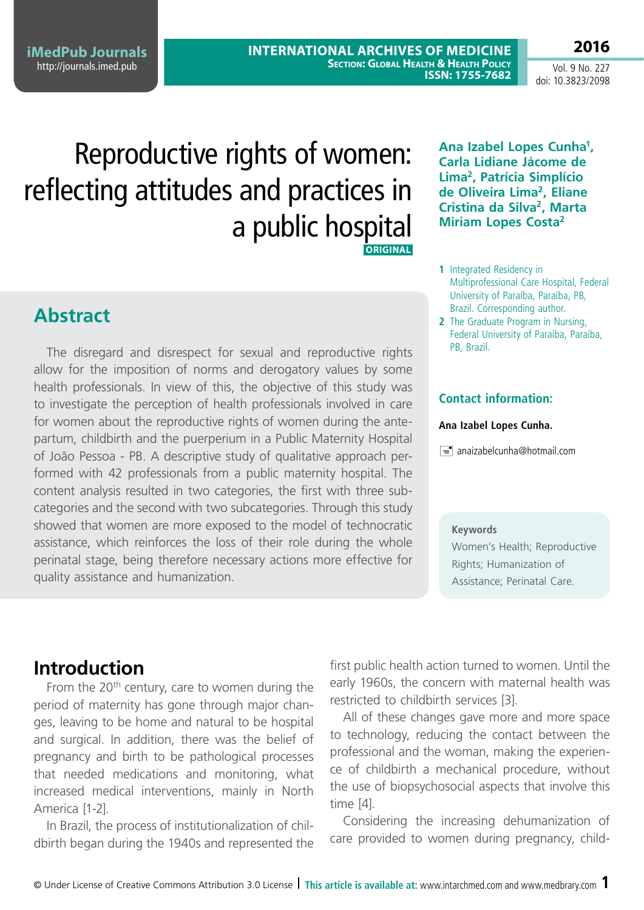**iMedPub Journals** <http://journals.imed.pub>

**INTERNATIONAL ARCHIVES OF MEDICINE SECTION: GLOBAL HEALTH & HEALTH POLICY ISSN: 1755-7682** 

Vol. 9 No. 227 doi: 10.3823/2098

**2016**

# Reproductive rights of women: reflecting attitudes and practices in a public hospital **ORIGINAL**

**Carla Lidiane Jácome de Lima2, Patrícia Simplício de Oliveira Lima2, Eliane Cristina da Silva2, Marta Miriam Lopes Costa2**

**Ana Izabel Lopes Cunha1,** 

- **1** Integrated Residency in Multiprofessional Care Hospital, Federal University of Paraíba, Paraíba, PB, Brazil. Corresponding author.
- **2** The Graduate Program in Nursing. Federal University of Paraíba, Paraíba, PB, Brazil.

#### **Contact information:**

#### **Ana Izabel Lopes Cunha.**

 $\equiv$  anaizabelcunha@hotmail.com

#### **Keywords**

Women's Health; Reproductive Rights; Humanization of Assistance; Perinatal Care.

# **Introduction**

From the  $20<sup>th</sup>$  century, care to women during the period of maternity has gone through major changes, leaving to be home and natural to be hospital and surgical. In addition, there was the belief of pregnancy and birth to be pathological processes that needed medications and monitoring, what increased medical interventions, mainly in North America [1-2].

In Brazil, the process of institutionalization of childbirth began during the 1940s and represented the first public health action turned to women. Until the early 1960s, the concern with maternal health was restricted to childbirth services [3].

All of these changes gave more and more space to technology, reducing the contact between the professional and the woman, making the experience of childbirth a mechanical procedure, without the use of biopsychosocial aspects that involve this time [4].

Considering the increasing dehumanization of care provided to women during pregnancy, child-

**Abstract**

The disregard and disrespect for sexual and reproductive rights allow for the imposition of norms and derogatory values by some health professionals. In view of this, the objective of this study was to investigate the perception of health professionals involved in care for women about the reproductive rights of women during the antepartum, childbirth and the puerperium in a Public Maternity Hospital of João Pessoa - PB. A descriptive study of qualitative approach performed with 42 professionals from a public maternity hospital. The content analysis resulted in two categories, the first with three subcategories and the second with two subcategories. Through this study showed that women are more exposed to the model of technocratic assistance, which reinforces the loss of their role during the whole perinatal stage, being therefore necessary actions more effective for quality assistance and humanization.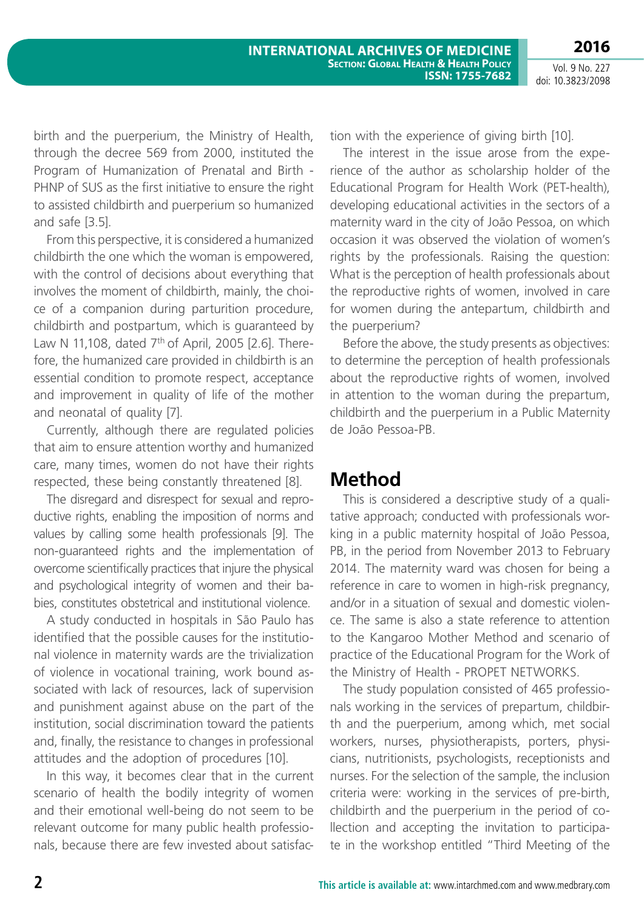birth and the puerperium, the Ministry of Health, through the decree 569 from 2000, instituted the Program of Humanization of Prenatal and Birth - PHNP of SUS as the first initiative to ensure the right to assisted childbirth and puerperium so humanized and safe [3.5].

From this perspective, it is considered a humanized childbirth the one which the woman is empowered, with the control of decisions about everything that involves the moment of childbirth, mainly, the choice of a companion during parturition procedure, childbirth and postpartum, which is guaranteed by Law N 11,108, dated  $7<sup>th</sup>$  of April, 2005 [2.6]. Therefore, the humanized care provided in childbirth is an essential condition to promote respect, acceptance and improvement in quality of life of the mother and neonatal of quality [7].

Currently, although there are regulated policies that aim to ensure attention worthy and humanized care, many times, women do not have their rights respected, these being constantly threatened [8].

The disregard and disrespect for sexual and reproductive rights, enabling the imposition of norms and values by calling some health professionals [9]. The non-guaranteed rights and the implementation of overcome scientifically practices that injure the physical and psychological integrity of women and their babies, constitutes obstetrical and institutional violence.

A study conducted in hospitals in São Paulo has identified that the possible causes for the institutional violence in maternity wards are the trivialization of violence in vocational training, work bound associated with lack of resources, lack of supervision and punishment against abuse on the part of the institution, social discrimination toward the patients and, finally, the resistance to changes in professional attitudes and the adoption of procedures [10].

In this way, it becomes clear that in the current scenario of health the bodily integrity of women and their emotional well-being do not seem to be relevant outcome for many public health professionals, because there are few invested about satisfaction with the experience of giving birth [10].

The interest in the issue arose from the experience of the author as scholarship holder of the Educational Program for Health Work (PET-health), developing educational activities in the sectors of a maternity ward in the city of João Pessoa, on which occasion it was observed the violation of women's rights by the professionals. Raising the question: What is the perception of health professionals about the reproductive rights of women, involved in care for women during the antepartum, childbirth and the puerperium?

Before the above, the study presents as objectives: to determine the perception of health professionals about the reproductive rights of women, involved in attention to the woman during the prepartum, childbirth and the puerperium in a Public Maternity de João Pessoa-PB.

## **Method**

This is considered a descriptive study of a qualitative approach; conducted with professionals working in a public maternity hospital of João Pessoa, PB, in the period from November 2013 to February 2014. The maternity ward was chosen for being a reference in care to women in high-risk pregnancy, and/or in a situation of sexual and domestic violence. The same is also a state reference to attention to the Kangaroo Mother Method and scenario of practice of the Educational Program for the Work of the Ministry of Health - PROPET NETWORKS.

The study population consisted of 465 professionals working in the services of prepartum, childbirth and the puerperium, among which, met social workers, nurses, physiotherapists, porters, physicians, nutritionists, psychologists, receptionists and nurses. For the selection of the sample, the inclusion criteria were: working in the services of pre-birth, childbirth and the puerperium in the period of collection and accepting the invitation to participate in the workshop entitled "Third Meeting of the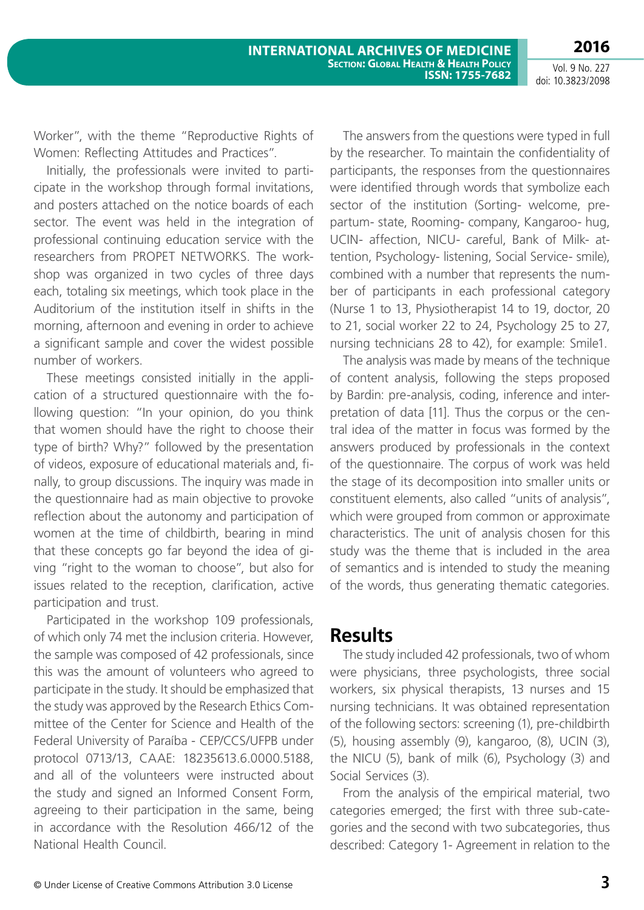**2016**

Worker", with the theme "Reproductive Rights of Women: Reflecting Attitudes and Practices".

Initially, the professionals were invited to participate in the workshop through formal invitations, and posters attached on the notice boards of each sector. The event was held in the integration of professional continuing education service with the researchers from PROPET NETWORKS. The workshop was organized in two cycles of three days each, totaling six meetings, which took place in the Auditorium of the institution itself in shifts in the morning, afternoon and evening in order to achieve a significant sample and cover the widest possible number of workers.

These meetings consisted initially in the application of a structured questionnaire with the following question: "In your opinion, do you think that women should have the right to choose their type of birth? Why?" followed by the presentation of videos, exposure of educational materials and, finally, to group discussions. The inquiry was made in the questionnaire had as main objective to provoke reflection about the autonomy and participation of women at the time of childbirth, bearing in mind that these concepts go far beyond the idea of giving "right to the woman to choose", but also for issues related to the reception, clarification, active participation and trust.

Participated in the workshop 109 professionals, of which only 74 met the inclusion criteria. However, the sample was composed of 42 professionals, since this was the amount of volunteers who agreed to participate in the study. It should be emphasized that the study was approved by the Research Ethics Committee of the Center for Science and Health of the Federal University of Paraíba - CEP/CCS/UFPB under protocol 0713/13, CAAE: 18235613.6.0000.5188, and all of the volunteers were instructed about the study and signed an Informed Consent Form, agreeing to their participation in the same, being in accordance with the Resolution 466/12 of the National Health Council.

The answers from the questions were typed in full by the researcher. To maintain the confidentiality of participants, the responses from the questionnaires were identified through words that symbolize each sector of the institution (Sorting- welcome, prepartum- state, Rooming- company, Kangaroo- hug, UCIN- affection, NICU- careful, Bank of Milk- attention, Psychology- listening, Social Service- smile), combined with a number that represents the number of participants in each professional category (Nurse 1 to 13, Physiotherapist 14 to 19, doctor, 20 to 21, social worker 22 to 24, Psychology 25 to 27, nursing technicians 28 to 42), for example: Smile1.

The analysis was made by means of the technique of content analysis, following the steps proposed by Bardin: pre-analysis, coding, inference and interpretation of data [11]. Thus the corpus or the central idea of the matter in focus was formed by the answers produced by professionals in the context of the questionnaire. The corpus of work was held the stage of its decomposition into smaller units or constituent elements, also called "units of analysis", which were grouped from common or approximate characteristics. The unit of analysis chosen for this study was the theme that is included in the area of semantics and is intended to study the meaning of the words, thus generating thematic categories.

## **Results**

The study included 42 professionals, two of whom were physicians, three psychologists, three social workers, six physical therapists, 13 nurses and 15 nursing technicians. It was obtained representation of the following sectors: screening (1), pre-childbirth (5), housing assembly (9), kangaroo, (8), UCIN (3), the NICU (5), bank of milk (6), Psychology (3) and Social Services (3).

From the analysis of the empirical material, two categories emerged; the first with three sub-categories and the second with two subcategories, thus described: Category 1- Agreement in relation to the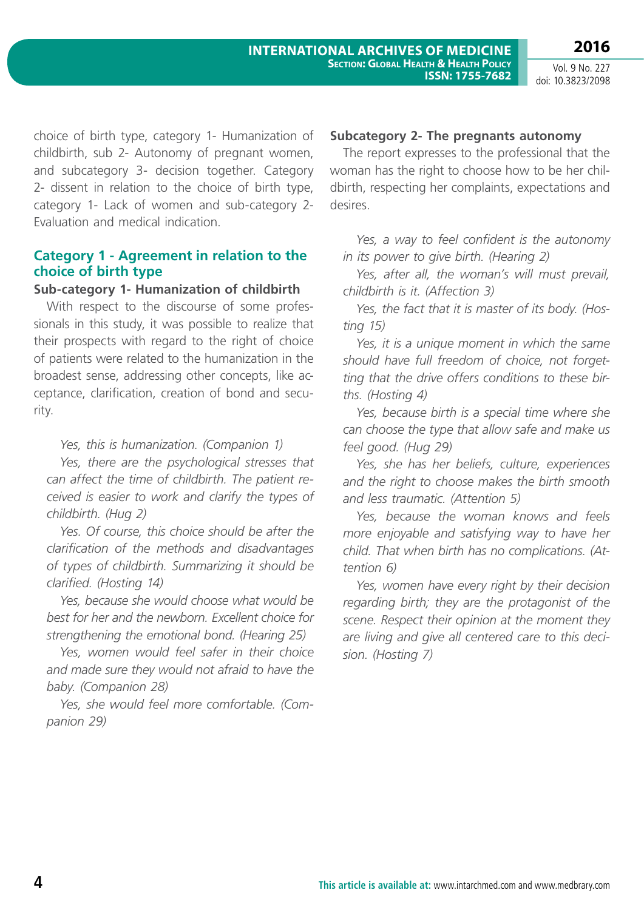choice of birth type, category 1- Humanization of childbirth, sub 2- Autonomy of pregnant women, and subcategory 3- decision together. Category 2- dissent in relation to the choice of birth type, category 1- Lack of women and sub-category 2- Evaluation and medical indication.

#### **Category 1 - Agreement in relation to the choice of birth type**

#### **Sub-category 1- Humanization of childbirth**

With respect to the discourse of some professionals in this study, it was possible to realize that their prospects with regard to the right of choice of patients were related to the humanization in the broadest sense, addressing other concepts, like acceptance, clarification, creation of bond and security.

*Yes, this is humanization. (Companion 1)*

*Yes, there are the psychological stresses that can affect the time of childbirth. The patient received is easier to work and clarify the types of childbirth. (Hug 2)*

*Yes. Of course, this choice should be after the clarification of the methods and disadvantages of types of childbirth. Summarizing it should be clarified. (Hosting 14)*

*Yes, because she would choose what would be best for her and the newborn. Excellent choice for strengthening the emotional bond. (Hearing 25)*

*Yes, women would feel safer in their choice and made sure they would not afraid to have the baby. (Companion 28)* 

*Yes, she would feel more comfortable. (Companion 29)*

#### **Subcategory 2- The pregnants autonomy**

The report expresses to the professional that the woman has the right to choose how to be her childbirth, respecting her complaints, expectations and desires.

*Yes, a way to feel confident is the autonomy in its power to give birth. (Hearing 2)*

*Yes, after all, the woman's will must prevail, childbirth is it. (Affection 3)*

*Yes, the fact that it is master of its body. (Hosting 15)*

*Yes, it is a unique moment in which the same should have full freedom of choice, not forgetting that the drive offers conditions to these births. (Hosting 4)*

*Yes, because birth is a special time where she can choose the type that allow safe and make us feel good. (Hug 29)*

*Yes, she has her beliefs, culture, experiences and the right to choose makes the birth smooth and less traumatic. (Attention 5)*

*Yes, because the woman knows and feels more enjoyable and satisfying way to have her child. That when birth has no complications. (Attention 6)*

*Yes, women have every right by their decision regarding birth; they are the protagonist of the scene. Respect their opinion at the moment they are living and give all centered care to this decision. (Hosting 7)*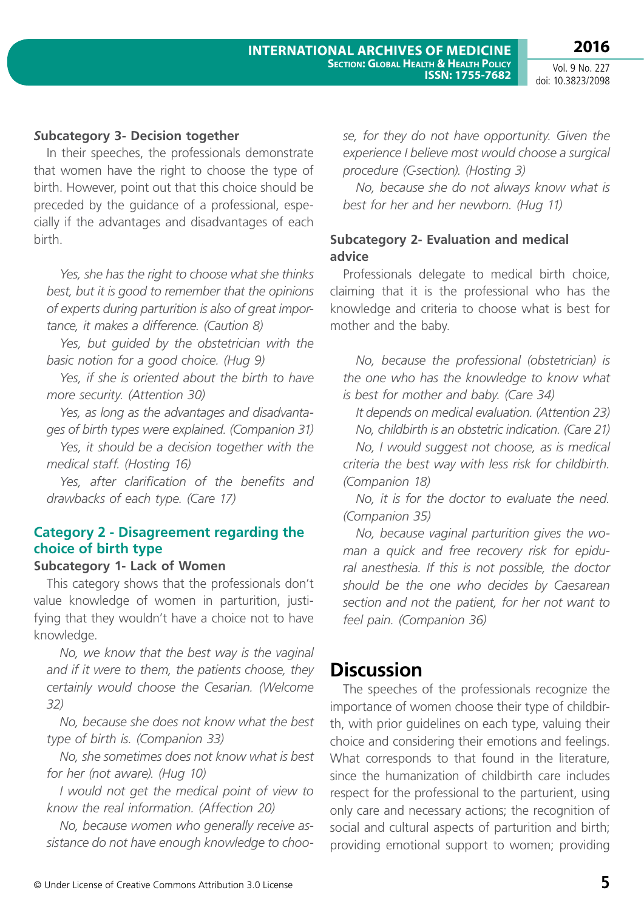**2016**

#### *S***ubcategory 3- Decision together**

In their speeches, the professionals demonstrate that women have the right to choose the type of birth. However, point out that this choice should be preceded by the guidance of a professional, especially if the advantages and disadvantages of each birth.

*Yes, she has the right to choose what she thinks best, but it is good to remember that the opinions of experts during parturition is also of great importance, it makes a difference. (Caution 8)*

*Yes, but guided by the obstetrician with the basic notion for a good choice. (Hug 9)*

*Yes, if she is oriented about the birth to have more security. (Attention 30)*

*Yes, as long as the advantages and disadvantages of birth types were explained. (Companion 31)*

*Yes, it should be a decision together with the medical staff. (Hosting 16)*

*Yes, after clarification of the benefits and drawbacks of each type. (Care 17)*

#### **Category 2 - Disagreement regarding the choice of birth type**

#### **Subcategory 1- Lack of Women**

This category shows that the professionals don't value knowledge of women in parturition, justifying that they wouldn't have a choice not to have knowledge.

*No, we know that the best way is the vaginal and if it were to them, the patients choose, they certainly would choose the Cesarian. (Welcome 32)*

*No, because she does not know what the best type of birth is. (Companion 33)*

*No, she sometimes does not know what is best for her (not aware). (Hug 10)*

*I would not get the medical point of view to know the real information. (Affection 20)*

*No, because women who generally receive assistance do not have enough knowledge to choo-* *se, for they do not have opportunity. Given the experience I believe most would choose a surgical procedure (C-section). (Hosting 3)*

*No, because she do not always know what is best for her and her newborn. (Hug 11)*

#### **Subcategory 2- Evaluation and medical advice**

Professionals delegate to medical birth choice, claiming that it is the professional who has the knowledge and criteria to choose what is best for mother and the baby.

*No, because the professional (obstetrician) is the one who has the knowledge to know what is best for mother and baby. (Care 34)*

*It depends on medical evaluation. (Attention 23) No, childbirth is an obstetric indication. (Care 21) No, I would suggest not choose, as is medical criteria the best way with less risk for childbirth.* 

*(Companion 18)*

*No, it is for the doctor to evaluate the need. (Companion 35)*

*No, because vaginal parturition gives the woman a quick and free recovery risk for epidural anesthesia. If this is not possible, the doctor should be the one who decides by Caesarean section and not the patient, for her not want to feel pain. (Companion 36)*

## **Discussion**

The speeches of the professionals recognize the importance of women choose their type of childbirth, with prior guidelines on each type, valuing their choice and considering their emotions and feelings. What corresponds to that found in the literature, since the humanization of childbirth care includes respect for the professional to the parturient, using only care and necessary actions; the recognition of social and cultural aspects of parturition and birth; providing emotional support to women; providing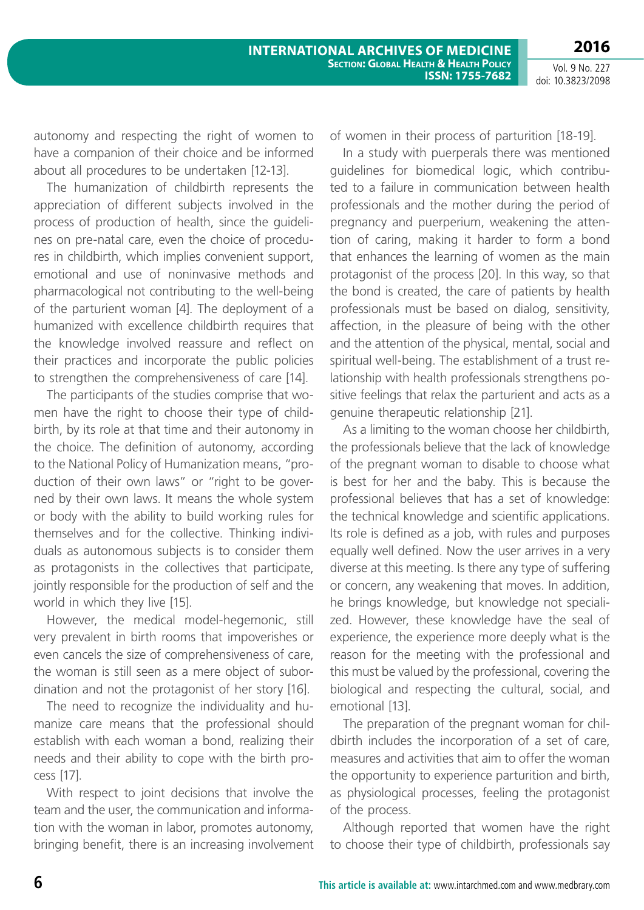autonomy and respecting the right of women to have a companion of their choice and be informed about all procedures to be undertaken [12-13].

The humanization of childbirth represents the appreciation of different subjects involved in the process of production of health, since the guidelines on pre-natal care, even the choice of procedures in childbirth, which implies convenient support, emotional and use of noninvasive methods and pharmacological not contributing to the well-being of the parturient woman [4]. The deployment of a humanized with excellence childbirth requires that the knowledge involved reassure and reflect on their practices and incorporate the public policies to strengthen the comprehensiveness of care [14].

The participants of the studies comprise that women have the right to choose their type of childbirth, by its role at that time and their autonomy in the choice. The definition of autonomy, according to the National Policy of Humanization means, "production of their own laws" or "right to be governed by their own laws. It means the whole system or body with the ability to build working rules for themselves and for the collective. Thinking individuals as autonomous subjects is to consider them as protagonists in the collectives that participate, jointly responsible for the production of self and the world in which they live [15].

However, the medical model-hegemonic, still very prevalent in birth rooms that impoverishes or even cancels the size of comprehensiveness of care, the woman is still seen as a mere object of subordination and not the protagonist of her story [16].

The need to recognize the individuality and humanize care means that the professional should establish with each woman a bond, realizing their needs and their ability to cope with the birth process [17].

With respect to joint decisions that involve the team and the user, the communication and information with the woman in labor, promotes autonomy, bringing benefit, there is an increasing involvement of women in their process of parturition [18-19].

In a study with puerperals there was mentioned guidelines for biomedical logic, which contributed to a failure in communication between health professionals and the mother during the period of pregnancy and puerperium, weakening the attention of caring, making it harder to form a bond that enhances the learning of women as the main protagonist of the process [20]. In this way, so that the bond is created, the care of patients by health professionals must be based on dialog, sensitivity, affection, in the pleasure of being with the other and the attention of the physical, mental, social and spiritual well-being. The establishment of a trust relationship with health professionals strengthens positive feelings that relax the parturient and acts as a genuine therapeutic relationship [21].

As a limiting to the woman choose her childbirth, the professionals believe that the lack of knowledge of the pregnant woman to disable to choose what is best for her and the baby. This is because the professional believes that has a set of knowledge: the technical knowledge and scientific applications. Its role is defined as a job, with rules and purposes equally well defined. Now the user arrives in a very diverse at this meeting. Is there any type of suffering or concern, any weakening that moves. In addition, he brings knowledge, but knowledge not specialized. However, these knowledge have the seal of experience, the experience more deeply what is the reason for the meeting with the professional and this must be valued by the professional, covering the biological and respecting the cultural, social, and emotional [13].

The preparation of the pregnant woman for childbirth includes the incorporation of a set of care, measures and activities that aim to offer the woman the opportunity to experience parturition and birth, as physiological processes, feeling the protagonist of the process.

Although reported that women have the right to choose their type of childbirth, professionals say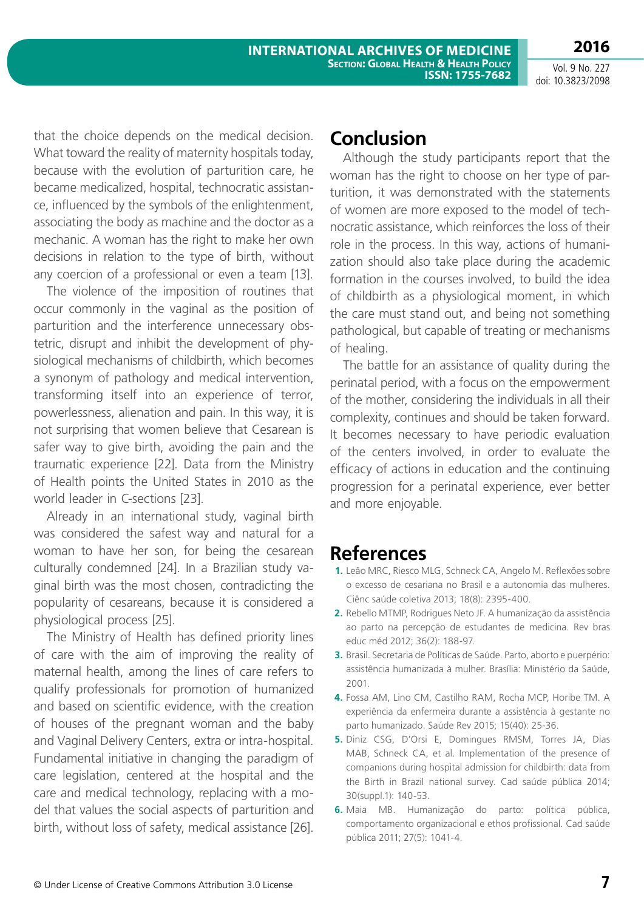that the choice depends on the medical decision. What toward the reality of maternity hospitals today, because with the evolution of parturition care, he became medicalized, hospital, technocratic assistance, influenced by the symbols of the enlightenment, associating the body as machine and the doctor as a mechanic. A woman has the right to make her own decisions in relation to the type of birth, without any coercion of a professional or even a team [13].

The violence of the imposition of routines that occur commonly in the vaginal as the position of parturition and the interference unnecessary obstetric, disrupt and inhibit the development of physiological mechanisms of childbirth, which becomes a synonym of pathology and medical intervention, transforming itself into an experience of terror, powerlessness, alienation and pain. In this way, it is not surprising that women believe that Cesarean is safer way to give birth, avoiding the pain and the traumatic experience [22]. Data from the Ministry of Health points the United States in 2010 as the world leader in C-sections [23].

Already in an international study, vaginal birth was considered the safest way and natural for a woman to have her son, for being the cesarean culturally condemned [24]. In a Brazilian study vaginal birth was the most chosen, contradicting the popularity of cesareans, because it is considered a physiological process [25].

The Ministry of Health has defined priority lines of care with the aim of improving the reality of maternal health, among the lines of care refers to qualify professionals for promotion of humanized and based on scientific evidence, with the creation of houses of the pregnant woman and the baby and Vaginal Delivery Centers, extra or intra-hospital. Fundamental initiative in changing the paradigm of care legislation, centered at the hospital and the care and medical technology, replacing with a model that values the social aspects of parturition and birth, without loss of safety, medical assistance [26].

# **Conclusion**

Although the study participants report that the woman has the right to choose on her type of parturition, it was demonstrated with the statements of women are more exposed to the model of technocratic assistance, which reinforces the loss of their role in the process. In this way, actions of humanization should also take place during the academic formation in the courses involved, to build the idea of childbirth as a physiological moment, in which the care must stand out, and being not something pathological, but capable of treating or mechanisms of healing.

The battle for an assistance of quality during the perinatal period, with a focus on the empowerment of the mother, considering the individuals in all their complexity, continues and should be taken forward. It becomes necessary to have periodic evaluation of the centers involved, in order to evaluate the efficacy of actions in education and the continuing progression for a perinatal experience, ever better and more enjoyable.

# **References**

- **1.** Leão MRC, Riesco MLG, Schneck CA, Angelo M. Reflexões sobre o excesso de cesariana no Brasil e a autonomia das mulheres. Ciênc saúde coletiva 2013; 18(8): 2395-400.
- **2.** Rebello MTMP, Rodrigues Neto JF. A humanização da assistência ao parto na percepção de estudantes de medicina. Rev bras educ méd 2012; 36(2): 188-97.
- **3.** Brasil. Secretaria de Políticas de Saúde. Parto, aborto e puerpério: assistência humanizada à mulher. Brasília: Ministério da Saúde, 2001.
- **4.** Fossa AM, Lino CM, Castilho RAM, Rocha MCP, Horibe TM. A experiência da enfermeira durante a assistência à gestante no parto humanizado. Saúde Rev 2015; 15(40): 25-36.
- **5.** Diniz CSG, D'Orsi E, Domingues RMSM, Torres JA, Dias MAB, Schneck CA, et al. Implementation of the presence of companions during hospital admission for childbirth: data from the Birth in Brazil national survey. Cad saúde pública 2014; 30(suppl.1): 140-53.
- **6.** Maia MB. Humanização do parto: política pública, comportamento organizacional e ethos profissional. Cad saúde pública 2011; 27(5): 1041-4.